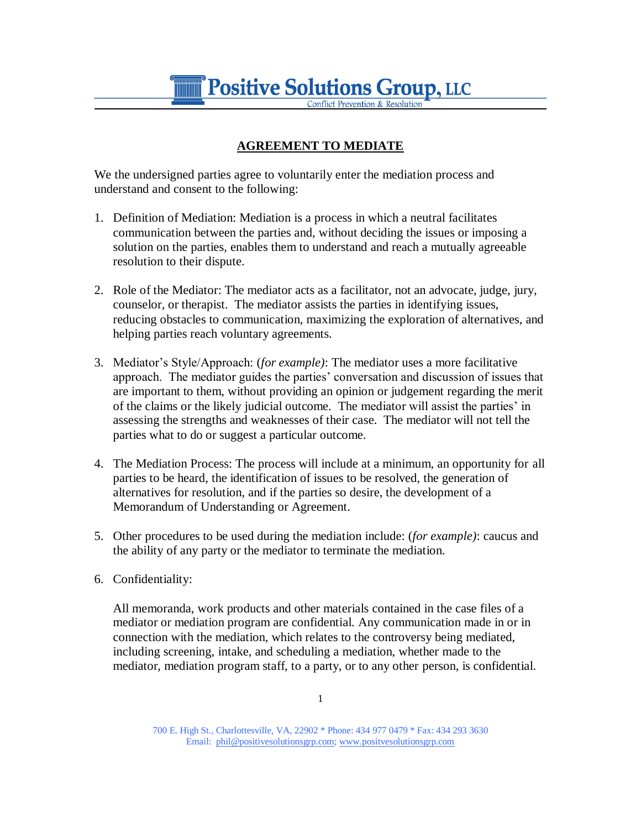**Positive Solutions Group, LLC** 

## **AGREEMENT TO MEDIATE**

We the undersigned parties agree to voluntarily enter the mediation process and understand and consent to the following:

- 1. Definition of Mediation: Mediation is a process in which a neutral facilitates communication between the parties and, without deciding the issues or imposing a solution on the parties, enables them to understand and reach a mutually agreeable resolution to their dispute.
- 2. Role of the Mediator: The mediator acts as a facilitator, not an advocate, judge, jury, counselor, or therapist. The mediator assists the parties in identifying issues, reducing obstacles to communication, maximizing the exploration of alternatives, and helping parties reach voluntary agreements.
- 3. Mediator's Style/Approach: (*for example)*: The mediator uses a more facilitative approach. The mediator guides the parties' conversation and discussion of issues that are important to them, without providing an opinion or judgement regarding the merit of the claims or the likely judicial outcome. The mediator will assist the parties' in assessing the strengths and weaknesses of their case. The mediator will not tell the parties what to do or suggest a particular outcome.
- 4. The Mediation Process: The process will include at a minimum, an opportunity for all parties to be heard, the identification of issues to be resolved, the generation of alternatives for resolution, and if the parties so desire, the development of a Memorandum of Understanding or Agreement.
- 5. Other procedures to be used during the mediation include: (*for example)*: caucus and the ability of any party or the mediator to terminate the mediation.
- 6. Confidentiality:

All memoranda, work products and other materials contained in the case files of a mediator or mediation program are confidential. Any communication made in or in connection with the mediation, which relates to the controversy being mediated, including screening, intake, and scheduling a mediation, whether made to the mediator, mediation program staff, to a party, or to any other person, is confidential.

700 E. High St., Charlottesville, VA, 22902 \* Phone: 434 977 0479 \* Fax: 434 293 3630 Email: phil@positivesolutionsgrp.com; www.positvesolutionsgrp.com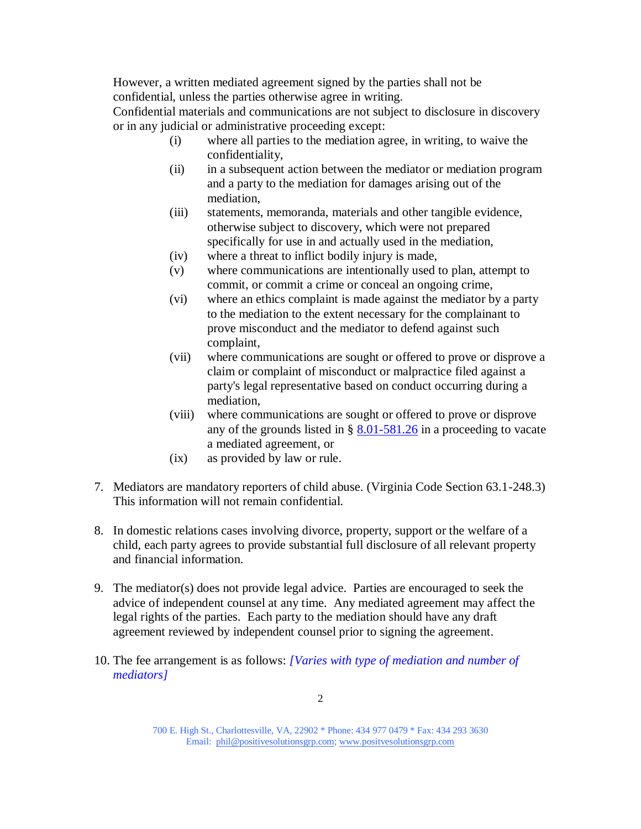However, a written mediated agreement signed by the parties shall not be confidential, unless the parties otherwise agree in writing.

Confidential materials and communications are not subject to disclosure in discovery or in any judicial or administrative proceeding except:

- (i) where all parties to the mediation agree, in writing, to waive the confidentiality,
- (ii) in a subsequent action between the mediator or mediation program and a party to the mediation for damages arising out of the mediation,
- (iii) statements, memoranda, materials and other tangible evidence, otherwise subject to discovery, which were not prepared specifically for use in and actually used in the mediation,
- (iv) where a threat to inflict bodily injury is made,
- (v) where communications are intentionally used to plan, attempt to commit, or commit a crime or conceal an ongoing crime,
- (vi) where an ethics complaint is made against the mediator by a party to the mediation to the extent necessary for the complainant to prove misconduct and the mediator to defend against such complaint,
- (vii) where communications are sought or offered to prove or disprove a claim or complaint of misconduct or malpractice filed against a party's legal representative based on conduct occurring during a mediation,
- (viii) where communications are sought or offered to prove or disprove any of the grounds listed in  $\S$  [8.01-581.26](http://leg1.state.va.us/cgi-bin/legp504.exe?000+cod+8.01-581.26) in a proceeding to vacate a mediated agreement, or
- (ix) as provided by law or rule.
- 7. Mediators are mandatory reporters of child abuse. (Virginia Code Section 63.1-248.3) This information will not remain confidential.
- 8. In domestic relations cases involving divorce, property, support or the welfare of a child, each party agrees to provide substantial full disclosure of all relevant property and financial information.
- 9. The mediator(s) does not provide legal advice. Parties are encouraged to seek the advice of independent counsel at any time. Any mediated agreement may affect the legal rights of the parties. Each party to the mediation should have any draft agreement reviewed by independent counsel prior to signing the agreement.
- 10. The fee arrangement is as follows: *[Varies with type of mediation and number of mediators]*

700 E. High St., Charlottesville, VA, 22902 \* Phone: 434 977 0479 \* Fax: 434 293 3630 Email: phil@positivesolutionsgrp.com; www.positvesolutionsgrp.com